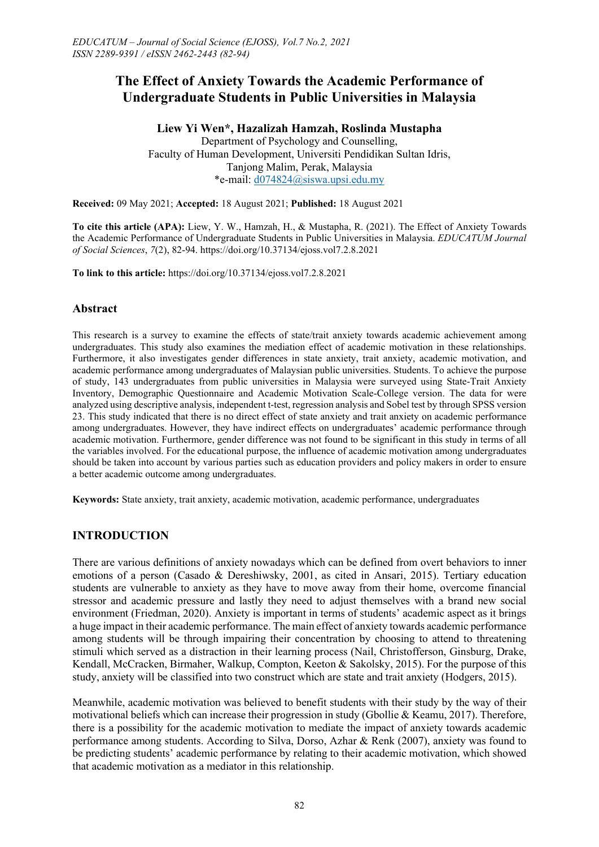**Liew Yi Wen\*, Hazalizah Hamzah, Roslinda Mustapha** Department of Psychology and Counselling, Faculty of Human Development, Universiti Pendidikan Sultan Idris, Tanjong Malim, Perak, Malaysia \*e-mail: [d074824@siswa.upsi.edu.my](mailto:d074824@siswa.upsi.edu.my)

**Received:** 09 May 2021; **Accepted:** 18 August 2021; **Published:** 18 August 2021

**To cite this article (APA):** Liew, Y. W., Hamzah, H., & Mustapha, R. (2021). The Effect of Anxiety Towards the Academic Performance of Undergraduate Students in Public Universities in Malaysia. *EDUCATUM Journal of Social Sciences*, *7*(2), 82-94. https://doi.org/10.37134/ejoss.vol7.2.8.2021

**To link to this article:** https://doi.org/10.37134/ejoss.vol7.2.8.2021

### **Abstract**

This research is a survey to examine the effects of state/trait anxiety towards academic achievement among undergraduates. This study also examines the mediation effect of academic motivation in these relationships. Furthermore, it also investigates gender differences in state anxiety, trait anxiety, academic motivation, and academic performance among undergraduates of Malaysian public universities. Students. To achieve the purpose of study, 143 undergraduates from public universities in Malaysia were surveyed using State-Trait Anxiety Inventory, Demographic Questionnaire and Academic Motivation Scale-College version. The data for were analyzed using descriptive analysis, independent t-test, regression analysis and Sobel test by through SPSS version 23. This study indicated that there is no direct effect of state anxiety and trait anxiety on academic performance among undergraduates. However, they have indirect effects on undergraduates' academic performance through academic motivation. Furthermore, gender difference was not found to be significant in this study in terms of all the variables involved. For the educational purpose, the influence of academic motivation among undergraduates should be taken into account by various parties such as education providers and policy makers in order to ensure a better academic outcome among undergraduates.

**Keywords:** State anxiety, trait anxiety, academic motivation, academic performance, undergraduates

# **INTRODUCTION**

There are various definitions of anxiety nowadays which can be defined from overt behaviors to inner emotions of a person (Casado & Dereshiwsky, 2001, as cited in Ansari, 2015). Tertiary education students are vulnerable to anxiety as they have to move away from their home, overcome financial stressor and academic pressure and lastly they need to adjust themselves with a brand new social environment (Friedman, 2020). Anxiety is important in terms of students' academic aspect as it brings a huge impact in their academic performance. The main effect of anxiety towards academic performance among students will be through impairing their concentration by choosing to attend to threatening stimuli which served as a distraction in their learning process (Nail, Christofferson, Ginsburg, Drake, Kendall, McCracken, Birmaher, Walkup, Compton, Keeton & Sakolsky, 2015). For the purpose of this study, anxiety will be classified into two construct which are state and trait anxiety (Hodgers, 2015).

Meanwhile, academic motivation was believed to benefit students with their study by the way of their motivational beliefs which can increase their progression in study (Gbollie & Keamu, 2017). Therefore, there is a possibility for the academic motivation to mediate the impact of anxiety towards academic performance among students. According to Silva, Dorso, Azhar & Renk (2007), anxiety was found to be predicting students' academic performance by relating to their academic motivation, which showed that academic motivation as a mediator in this relationship.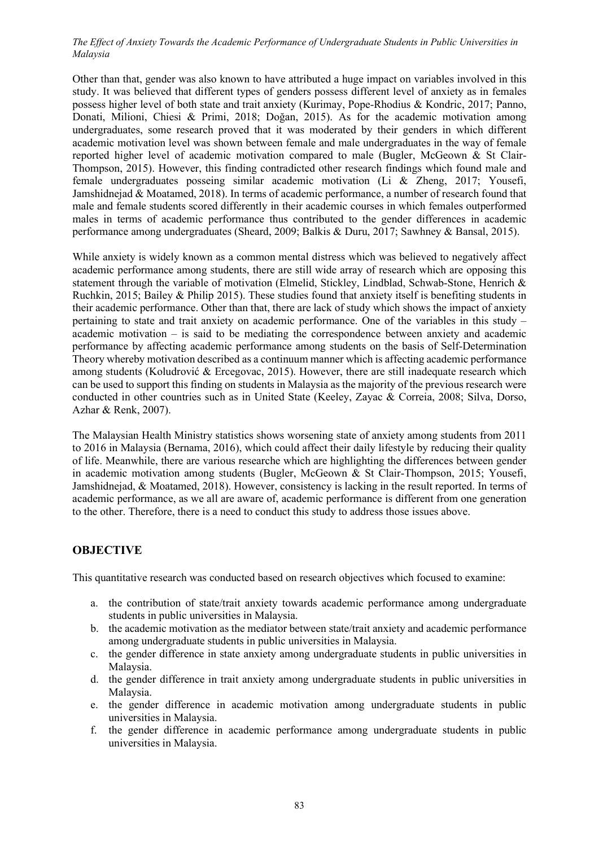Other than that, gender was also known to have attributed a huge impact on variables involved in this study. It was believed that different types of genders possess different level of anxiety as in females possess higher level of both state and trait anxiety (Kurimay, Pope-Rhodius & Kondric, 2017; Panno, Donati, Milioni, Chiesi & Primi, 2018; Doğan, 2015). As for the academic motivation among undergraduates, some research proved that it was moderated by their genders in which different academic motivation level was shown between female and male undergraduates in the way of female reported higher level of academic motivation compared to male (Bugler, McGeown & St Clair-Thompson, 2015). However, this finding contradicted other research findings which found male and female undergraduates posseing similar academic motivation (Li & Zheng, 2017; Yousefi, Jamshidnejad & Moatamed, 2018). In terms of academic performance, a number of research found that male and female students scored differently in their academic courses in which females outperformed males in terms of academic performance thus contributed to the gender differences in academic performance among undergraduates (Sheard, 2009; Balkis & Duru, 2017; Sawhney & Bansal, 2015).

While anxiety is widely known as a common mental distress which was believed to negatively affect academic performance among students, there are still wide array of research which are opposing this statement through the variable of motivation (Elmelid, Stickley, Lindblad, Schwab-Stone, Henrich & Ruchkin, 2015; Bailey & Philip 2015). These studies found that anxiety itself is benefiting students in their academic performance. Other than that, there are lack of study which shows the impact of anxiety pertaining to state and trait anxiety on academic performance. One of the variables in this study – academic motivation – is said to be mediating the correspondence between anxiety and academic performance by affecting academic performance among students on the basis of Self-Determination Theory whereby motivation described as a continuum manner which is affecting academic performance among students (Koludrović & Ercegovac, 2015). However, there are still inadequate research which can be used to support this finding on students in Malaysia as the majority of the previous research were conducted in other countries such as in United State (Keeley, Zayac & Correia, 2008; Silva, Dorso, Azhar & Renk, 2007).

The Malaysian Health Ministry statistics shows worsening state of anxiety among students from 2011 to 2016 in Malaysia (Bernama, 2016), which could affect their daily lifestyle by reducing their quality of life. Meanwhile, there are various researche which are highlighting the differences between gender in academic motivation among students (Bugler, McGeown & St Clair-Thompson, 2015; Yousefi, Jamshidnejad, & Moatamed, 2018). However, consistency is lacking in the result reported. In terms of academic performance, as we all are aware of, academic performance is different from one generation to the other. Therefore, there is a need to conduct this study to address those issues above.

# **OBJECTIVE**

This quantitative research was conducted based on research objectives which focused to examine:

- a. the contribution of state/trait anxiety towards academic performance among undergraduate students in public universities in Malaysia.
- b. the academic motivation as the mediator between state/trait anxiety and academic performance among undergraduate students in public universities in Malaysia.
- c. the gender difference in state anxiety among undergraduate students in public universities in Malaysia.
- d. the gender difference in trait anxiety among undergraduate students in public universities in Malaysia.
- e. the gender difference in academic motivation among undergraduate students in public universities in Malaysia.
- f. the gender difference in academic performance among undergraduate students in public universities in Malaysia.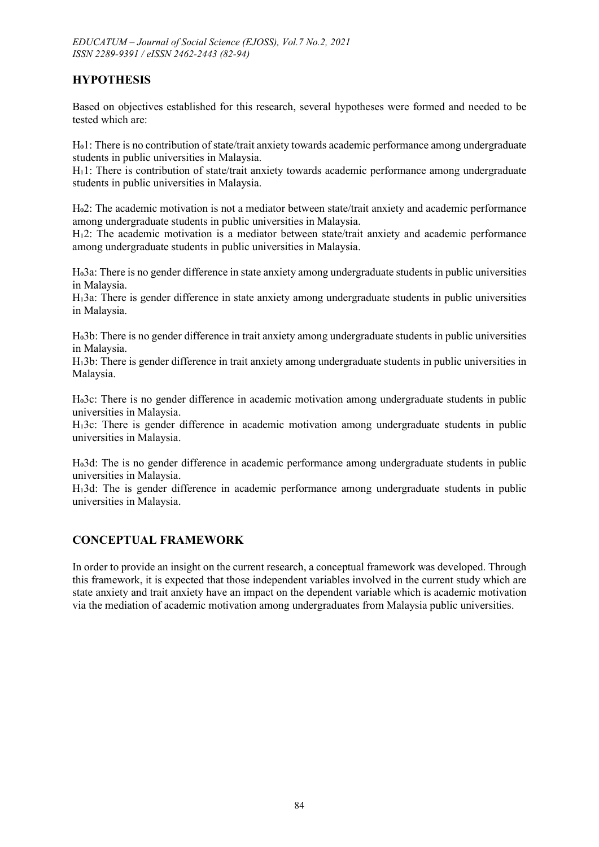# **HYPOTHESIS**

Based on objectives established for this research, several hypotheses were formed and needed to be tested which are:

Ho1: There is no contribution of state/trait anxiety towards academic performance among undergraduate students in public universities in Malaysia.

H<sub>1</sub>1: There is contribution of state/trait anxiety towards academic performance among undergraduate students in public universities in Malaysia.

Ho2: The academic motivation is not a mediator between state/trait anxiety and academic performance among undergraduate students in public universities in Malaysia.

H $12$ : The academic motivation is a mediator between state/trait anxiety and academic performance among undergraduate students in public universities in Malaysia.

Ho3a: There is no gender difference in state anxiety among undergraduate students in public universities in Malaysia.

H<sub>1</sub>3a: There is gender difference in state anxiety among undergraduate students in public universities in Malaysia.

Ho3b: There is no gender difference in trait anxiety among undergraduate students in public universities in Malaysia.

H $_3$ b: There is gender difference in trait anxiety among undergraduate students in public universities in Malaysia.

Ho3c: There is no gender difference in academic motivation among undergraduate students in public universities in Malaysia.

H $i$ 3c: There is gender difference in academic motivation among undergraduate students in public universities in Malaysia.

Ho3d: The is no gender difference in academic performance among undergraduate students in public universities in Malaysia.

H $i$ 3d: The is gender difference in academic performance among undergraduate students in public universities in Malaysia.

# **CONCEPTUAL FRAMEWORK**

In order to provide an insight on the current research, a conceptual framework was developed. Through this framework, it is expected that those independent variables involved in the current study which are state anxiety and trait anxiety have an impact on the dependent variable which is academic motivation via the mediation of academic motivation among undergraduates from Malaysia public universities.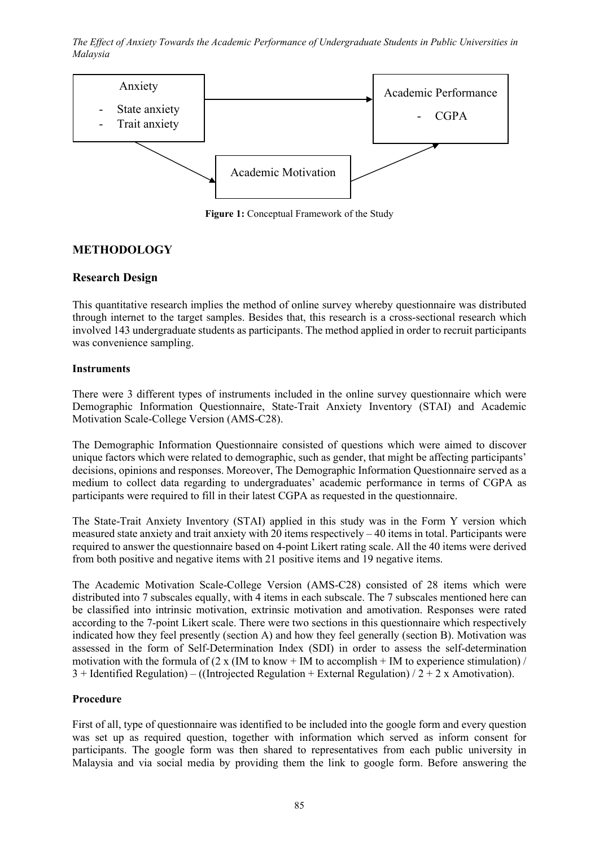

**Figure 1:** Conceptual Framework of the Study

# **METHODOLOGY**

### **Research Design**

This quantitative research implies the method of online survey whereby questionnaire was distributed through internet to the target samples. Besides that, this research is a cross-sectional research which involved 143 undergraduate students as participants. The method applied in order to recruit participants was convenience sampling.

### **Instruments**

There were 3 different types of instruments included in the online survey questionnaire which were Demographic Information Questionnaire, State-Trait Anxiety Inventory (STAI) and Academic Motivation Scale-College Version (AMS-C28).

The Demographic Information Questionnaire consisted of questions which were aimed to discover unique factors which were related to demographic, such as gender, that might be affecting participants' decisions, opinions and responses. Moreover, The Demographic Information Questionnaire served as a medium to collect data regarding to undergraduates' academic performance in terms of CGPA as participants were required to fill in their latest CGPA as requested in the questionnaire.

The State-Trait Anxiety Inventory (STAI) applied in this study was in the Form Y version which measured state anxiety and trait anxiety with 20 items respectively  $-40$  items in total. Participants were required to answer the questionnaire based on 4-point Likert rating scale. All the 40 items were derived from both positive and negative items with 21 positive items and 19 negative items.

The Academic Motivation Scale-College Version (AMS-C28) consisted of 28 items which were distributed into 7 subscales equally, with 4 items in each subscale. The 7 subscales mentioned here can be classified into intrinsic motivation, extrinsic motivation and amotivation. Responses were rated according to the 7-point Likert scale. There were two sections in this questionnaire which respectively indicated how they feel presently (section A) and how they feel generally (section B). Motivation was assessed in the form of Self-Determination Index (SDI) in order to assess the self-determination motivation with the formula of  $(2 \times (\text{IM to know + IM to accomplish + IM to experience stimulation})/$  $3 +$  Identified Regulation) – ((Introjected Regulation + External Regulation) /  $2 + 2x$  Amotivation).

### **Procedure**

First of all, type of questionnaire was identified to be included into the google form and every question was set up as required question, together with information which served as inform consent for participants. The google form was then shared to representatives from each public university in Malaysia and via social media by providing them the link to google form. Before answering the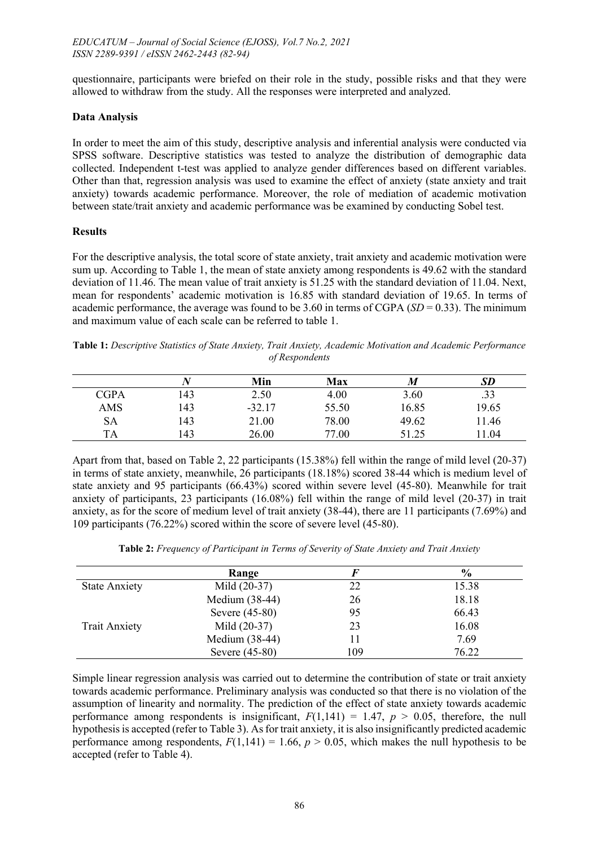questionnaire, participants were briefed on their role in the study, possible risks and that they were allowed to withdraw from the study. All the responses were interpreted and analyzed.

#### **Data Analysis**

In order to meet the aim of this study, descriptive analysis and inferential analysis were conducted via SPSS software. Descriptive statistics was tested to analyze the distribution of demographic data collected. Independent t-test was applied to analyze gender differences based on different variables. Other than that, regression analysis was used to examine the effect of anxiety (state anxiety and trait anxiety) towards academic performance. Moreover, the role of mediation of academic motivation between state/trait anxiety and academic performance was be examined by conducting Sobel test.

#### **Results**

For the descriptive analysis, the total score of state anxiety, trait anxiety and academic motivation were sum up. According to Table 1, the mean of state anxiety among respondents is 49.62 with the standard deviation of 11.46. The mean value of trait anxiety is 51.25 with the standard deviation of 11.04. Next, mean for respondents' academic motivation is 16.85 with standard deviation of 19.65. In terms of academic performance, the average was found to be 3.60 in terms of CGPA (*SD* = 0.33). The minimum and maximum value of each scale can be referred to table 1.

**Table 1:** *Descriptive Statistics of State Anxiety, Trait Anxiety, Academic Motivation and Academic Performance of Respondents*

|             |     | Min      | Max   | M     | SD    |
|-------------|-----|----------|-------|-------|-------|
| <b>CGPA</b> | 143 | 2.50     | 4.00  | 3.60  | .33   |
| AMS         | 143 | $-32.17$ | 55.50 | 16.85 | 19.65 |
| SА          | 143 | 21.00    | 78.00 | 49.62 | 11.46 |
| TA          | 143 | 26.00    | 77.00 | 51.25 | 1.04  |

Apart from that, based on Table 2, 22 participants (15.38%) fell within the range of mild level (20-37) in terms of state anxiety, meanwhile, 26 participants (18.18%) scored 38-44 which is medium level of state anxiety and 95 participants (66.43%) scored within severe level (45-80). Meanwhile for trait anxiety of participants, 23 participants (16.08%) fell within the range of mild level (20-37) in trait anxiety, as for the score of medium level of trait anxiety (38-44), there are 11 participants (7.69%) and 109 participants (76.22%) scored within the score of severe level (45-80).

|                      | Range            |     | $\frac{6}{9}$ |
|----------------------|------------------|-----|---------------|
| <b>State Anxiety</b> | Mild (20-37)     | 22  | 15.38         |
|                      | Medium (38-44)   | 26  | 18.18         |
|                      | Severe (45-80)   | 95  | 66.43         |
| <b>Trait Anxiety</b> | Mild (20-37)     | 23  | 16.08         |
|                      | Medium (38-44)   |     | 7.69          |
|                      | Severe $(45-80)$ | 109 | 76.22         |

**Table 2:** *Frequency of Participant in Terms of Severity of State Anxiety and Trait Anxiety*

Simple linear regression analysis was carried out to determine the contribution of state or trait anxiety towards academic performance. Preliminary analysis was conducted so that there is no violation of the assumption of linearity and normality. The prediction of the effect of state anxiety towards academic performance among respondents is insignificant,  $F(1,141) = 1.47$ ,  $p > 0.05$ , therefore, the null hypothesis is accepted (refer to Table 3). As for trait anxiety, it is also insignificantly predicted academic performance among respondents,  $F(1,141) = 1.66$ ,  $p > 0.05$ , which makes the null hypothesis to be accepted (refer to Table 4).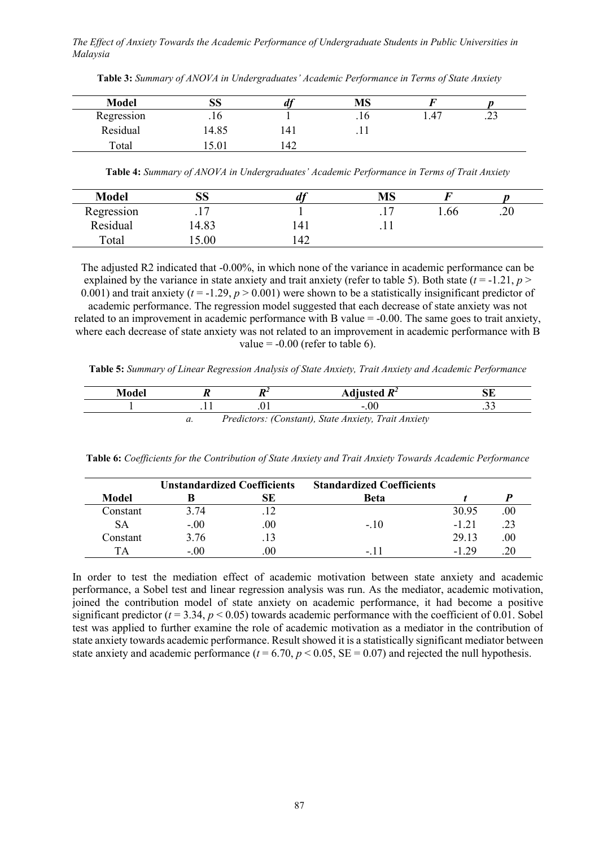| <b>Model</b> | ΩΩ<br>IJΩ | u   | <b>MS</b> |      |     |
|--------------|-----------|-----|-----------|------|-----|
| Regression   | .10       |     | .10       | 1.47 | ر__ |
| Residual     | 14.85     | 141 | .11       |      |     |
| Total        | 19.UI     | 42  |           |      |     |

**Table 3:** *Summary of ANOVA in Undergraduates' Academic Performance in Terms of State Anxiety*

**Table 4:** *Summary of ANOVA in Undergraduates' Academic Performance in Terms of Trait Anxiety*

| <b>Model</b> | QQ.<br>טפו |     | <b>MS</b> |     |     |
|--------------|------------|-----|-----------|-----|-----|
| Regression   | $\cdot$ .  |     | $\cdot$ 1 | .66 | .20 |
| Residual     | 4.83       | 141 |           |     |     |
| Total        | 5.00       | 142 |           |     |     |

The adjusted R2 indicated that -0.00%, in which none of the variance in academic performance can be explained by the variance in state anxiety and trait anxiety (refer to table 5). Both state  $(t = -1.21, p >$ 0.001) and trait anxiety ( $t = -1.29$ ,  $p > 0.001$ ) were shown to be a statistically insignificant predictor of academic performance. The regression model suggested that each decrease of state anxiety was not related to an improvement in academic performance with B value = -0.00. The same goes to trait anxiety, where each decrease of state anxiety was not related to an improvement in academic performance with B value  $= -0.00$  (refer to table 6).

**Table 5:** *Summary of Linear Regression Analysis of State Anxiety, Trait Anxiety and Academic Performance*

| Model |    | Adjusted $R^2$                                       | SE |
|-------|----|------------------------------------------------------|----|
|       |    | $-.00$                                               | ب  |
|       | и. | Predictors: (Constant), State Anxiety, Trait Anxiety |    |

**Table 6:** *Coefficients for the Contribution of State Anxiety and Trait Anxiety Towards Academic Performance*

|              | <b>Unstandardized Coefficients</b> |     | <b>Standardized Coefficients</b> |         |     |
|--------------|------------------------------------|-----|----------------------------------|---------|-----|
| <b>Model</b> |                                    | SЕ  | Beta                             |         |     |
| Constant     | 3.74                               |     |                                  | 30.95   | .00 |
| SА           | $-.00$                             | .00 | $-.10$                           | $-1.21$ |     |
| Constant     | 3.76                               |     |                                  | 29.13   | .00 |
| TА           | $-.00$                             | .00 | $-11$                            | $-1.29$ |     |

In order to test the mediation effect of academic motivation between state anxiety and academic performance, a Sobel test and linear regression analysis was run. As the mediator, academic motivation, joined the contribution model of state anxiety on academic performance, it had become a positive significant predictor  $(t = 3.34, p < 0.05)$  towards academic performance with the coefficient of 0.01. Sobel test was applied to further examine the role of academic motivation as a mediator in the contribution of state anxiety towards academic performance. Result showed it is a statistically significant mediator between state anxiety and academic performance ( $t = 6.70$ ,  $p < 0.05$ , SE = 0.07) and rejected the null hypothesis.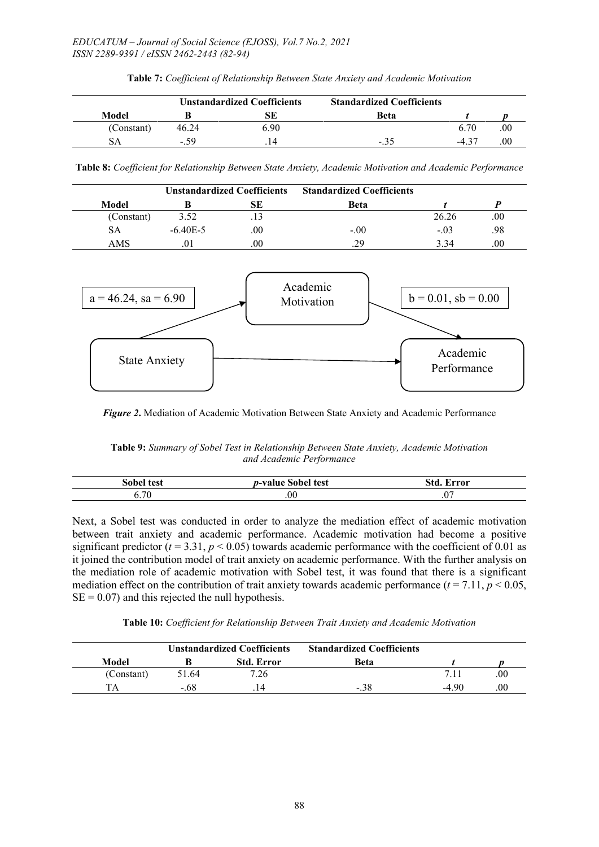|            | <b>Unstandardized Coefficients</b> |      | <b>Standardized Coefficients</b> |         |     |
|------------|------------------------------------|------|----------------------------------|---------|-----|
| Model      |                                    | SЕ   | Beta                             |         |     |
| (Constant) | 46.24                              | 6.90 |                                  | 6.70    | .00 |
|            | $-59$                              |      | -.35                             | $-4.37$ | .00 |

**Table 7:** *Coefficient of Relationship Between State Anxiety and Academic Motivation*

**Table 8:** *Coefficient for Relationship Between State Anxiety, Academic Motivation and Academic Performance*

| <b>Unstandardized Coefficients</b> |              | <b>Standardized Coefficients</b> |             |        |      |
|------------------------------------|--------------|----------------------------------|-------------|--------|------|
| Model                              |              | SЕ                               | <b>Beta</b> |        |      |
| (Constant)                         | 3.52         | .13                              |             | 26.26  | .00  |
| SА                                 | $-6.40E - 5$ | .00                              | $-.00$      | $-.03$ | .98  |
| AMS                                |              | .00                              | .29         | 3.34   | .00. |



*Figure 2***.** Mediation of Academic Motivation Between State Anxiety and Academic Performance

**Table 9:** *Summary of Sobel Test in Relationship Between State Anxiety, Academic Motivation and Academic Performance*

| test<br>-sobe" | test<br>n-value<br>:ahal<br>G | <b>ИИЛИ</b><br>ъ.       |
|----------------|-------------------------------|-------------------------|
| 70<br>J. / U   | $_{00}$                       | $\cdot$ $\circ$ $\cdot$ |

Next, a Sobel test was conducted in order to analyze the mediation effect of academic motivation between trait anxiety and academic performance. Academic motivation had become a positive significant predictor  $(t = 3.31, p < 0.05)$  towards academic performance with the coefficient of 0.01 as it joined the contribution model of trait anxiety on academic performance. With the further analysis on the mediation role of academic motivation with Sobel test, it was found that there is a significant mediation effect on the contribution of trait anxiety towards academic performance  $(t = 7.11, p < 0.05,$  $SE = 0.07$ ) and this rejected the null hypothesis.

**Table 10:** *Coefficient for Relationship Between Trait Anxiety and Academic Motivation*

| <b>Unstandardized Coefficients</b> |       | <b>Standardized Coefficients</b> |             |        |     |
|------------------------------------|-------|----------------------------------|-------------|--------|-----|
| Model                              |       | <b>Std. Error</b>                | Beta        |        |     |
| (Constant)                         | 51.64 | 7.26                             |             |        | .00 |
| TΔ                                 | - 68  |                                  | $-.3\delta$ | $-490$ |     |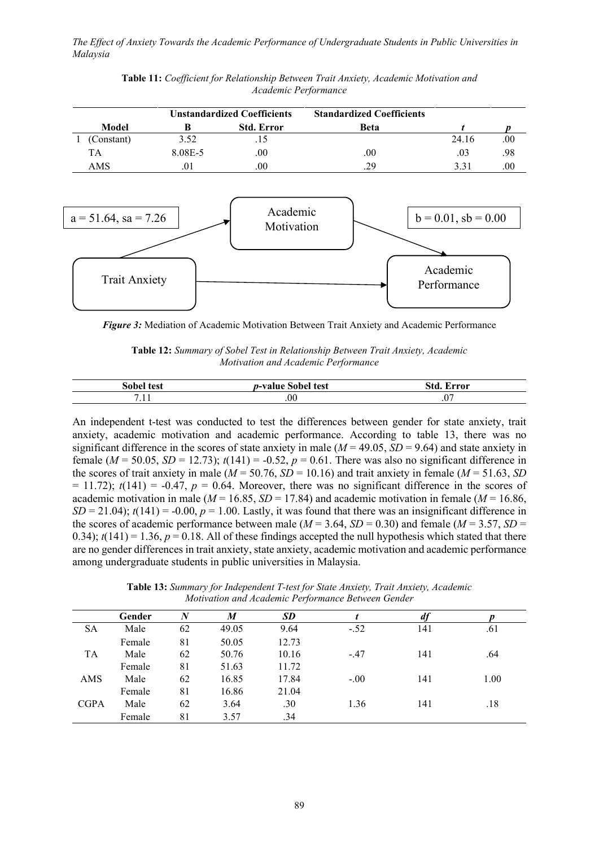| <b>Unstandardized Coefficients</b> |         | <b>Standardized Coefficients</b> |             |       |      |
|------------------------------------|---------|----------------------------------|-------------|-------|------|
| Model                              |         | <b>Std. Error</b>                | <b>Beta</b> |       |      |
| (Constant)                         | 3.52    |                                  |             | 24.16 | .00. |
| TA                                 | 8.08E-5 | .00                              | .00         | .03   | .98  |
| AMS                                |         | .00                              | .29         | 3.31  | .00. |

**Table 11:** *Coefficient for Relationship Between Trait Anxiety, Academic Motivation and Academic Performance*



*Figure 3:* Mediation of Academic Motivation Between Trait Anxiety and Academic Performance

**Table 12:** *Summary of Sobel Test in Relationship Between Trait Anxiety, Academic Motivation and Academic Performance*

| test<br>sobe' | test<br>$n$ -value<br>⊾∧hal | ำทากพ<br>v           |
|---------------|-----------------------------|----------------------|
| $\cdot$ 1 1   | .00                         | $\cdot$ $\sim$<br>.v |

An independent t-test was conducted to test the differences between gender for state anxiety, trait anxiety, academic motivation and academic performance. According to table 13, there was no significant difference in the scores of state anxiety in male  $(M = 49.05, SD = 9.64)$  and state anxiety in female ( $M = 50.05$ ,  $SD = 12.73$ );  $t(141) = -0.52$ ,  $p = 0.61$ . There was also no significant difference in the scores of trait anxiety in male ( $M = 50.76$ ,  $SD = 10.16$ ) and trait anxiety in female ( $M = 51.63$ , *SD*  $= 11.72$ ;  $t(141) = -0.47$ ,  $p = 0.64$ . Moreover, there was no significant difference in the scores of academic motivation in male ( $M = 16.85$ ,  $SD = 17.84$ ) and academic motivation in female ( $M = 16.86$ ,  $SD = 21.04$ ;  $t(141) = -0.00$ ,  $p = 1.00$ . Lastly, it was found that there was an insignificant difference in the scores of academic performance between male ( $M = 3.64$ ,  $SD = 0.30$ ) and female ( $M = 3.57$ ,  $SD = 0.30$ ) 0.34);  $t(141) = 1.36$ ,  $p = 0.18$ . All of these findings accepted the null hypothesis which stated that there are no gender differences in trait anxiety, state anxiety, academic motivation and academic performance among undergraduate students in public universities in Malaysia.

**Table 13:** *Summary for Independent T-test for State Anxiety, Trait Anxiety, Academic Motivation and Academic Performance Between Gender*

|             | Gender | N  | M     | SD    |        |     |      |
|-------------|--------|----|-------|-------|--------|-----|------|
| <b>SA</b>   | Male   | 62 | 49.05 | 9.64  | $-.52$ | 141 | .61  |
|             | Female | 81 | 50.05 | 12.73 |        |     |      |
| <b>TA</b>   | Male   | 62 | 50.76 | 10.16 | $-.47$ | 141 | .64  |
|             | Female | 81 | 51.63 | 11.72 |        |     |      |
| AMS         | Male   | 62 | 16.85 | 17.84 | $-.00$ | 141 | 1.00 |
|             | Female | 81 | 16.86 | 21.04 |        |     |      |
| <b>CGPA</b> | Male   | 62 | 3.64  | .30   | 1.36   | 141 | .18  |
|             | Female | 81 | 3.57  | .34   |        |     |      |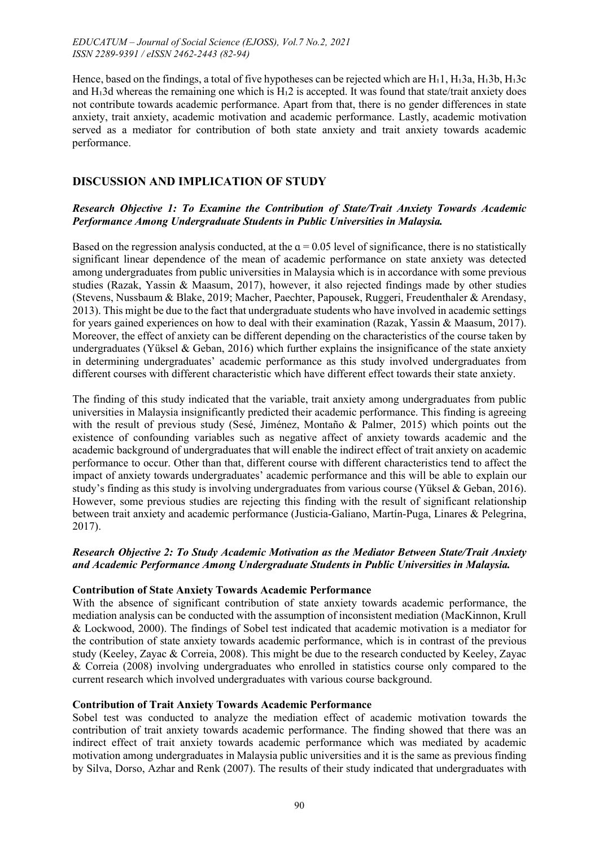Hence, based on the findings, a total of five hypotheses can be rejected which are H $_1$ 1, H $_1$ 3a, H $_1$ 3b, H $_1$ 3c and Hı3d whereas the remaining one which is H<sub>1</sub>2 is accepted. It was found that state/trait anxiety does not contribute towards academic performance. Apart from that, there is no gender differences in state anxiety, trait anxiety, academic motivation and academic performance. Lastly, academic motivation served as a mediator for contribution of both state anxiety and trait anxiety towards academic performance.

# **DISCUSSION AND IMPLICATION OF STUDY**

### *Research Objective 1: To Examine the Contribution of State/Trait Anxiety Towards Academic Performance Among Undergraduate Students in Public Universities in Malaysia.*

Based on the regression analysis conducted, at the  $\alpha$  = 0.05 level of significance, there is no statistically significant linear dependence of the mean of academic performance on state anxiety was detected among undergraduates from public universities in Malaysia which is in accordance with some previous studies (Razak, Yassin & Maasum, 2017), however, it also rejected findings made by other studies (Stevens, Nussbaum & Blake, 2019; Macher, Paechter, Papousek, Ruggeri, Freudenthaler & Arendasy, 2013). This might be due to the fact that undergraduate students who have involved in academic settings for years gained experiences on how to deal with their examination (Razak, Yassin & Maasum, 2017). Moreover, the effect of anxiety can be different depending on the characteristics of the course taken by undergraduates (Yüksel & Geban, 2016) which further explains the insignificance of the state anxiety in determining undergraduates' academic performance as this study involved undergraduates from different courses with different characteristic which have different effect towards their state anxiety.

The finding of this study indicated that the variable, trait anxiety among undergraduates from public universities in Malaysia insignificantly predicted their academic performance. This finding is agreeing with the result of previous study (Sesé, Jiménez, Montaño & Palmer, 2015) which points out the existence of confounding variables such as negative affect of anxiety towards academic and the academic background of undergraduates that will enable the indirect effect of trait anxiety on academic performance to occur. Other than that, different course with different characteristics tend to affect the impact of anxiety towards undergraduates' academic performance and this will be able to explain our study's finding as this study is involving undergraduates from various course (Yüksel & Geban, 2016). However, some previous studies are rejecting this finding with the result of significant relationship between trait anxiety and academic performance (Justicia-Galiano, Martín-Puga, Linares & Pelegrina, 2017).

### *Research Objective 2: To Study Academic Motivation as the Mediator Between State/Trait Anxiety and Academic Performance Among Undergraduate Students in Public Universities in Malaysia.*

### **Contribution of State Anxiety Towards Academic Performance**

With the absence of significant contribution of state anxiety towards academic performance, the mediation analysis can be conducted with the assumption of inconsistent mediation (MacKinnon, Krull & Lockwood, 2000). The findings of Sobel test indicated that academic motivation is a mediator for the contribution of state anxiety towards academic performance, which is in contrast of the previous study (Keeley, Zayac & Correia, 2008). This might be due to the research conducted by Keeley, Zayac & Correia (2008) involving undergraduates who enrolled in statistics course only compared to the current research which involved undergraduates with various course background.

### **Contribution of Trait Anxiety Towards Academic Performance**

Sobel test was conducted to analyze the mediation effect of academic motivation towards the contribution of trait anxiety towards academic performance. The finding showed that there was an indirect effect of trait anxiety towards academic performance which was mediated by academic motivation among undergraduates in Malaysia public universities and it is the same as previous finding by Silva, Dorso, Azhar and Renk (2007). The results of their study indicated that undergraduates with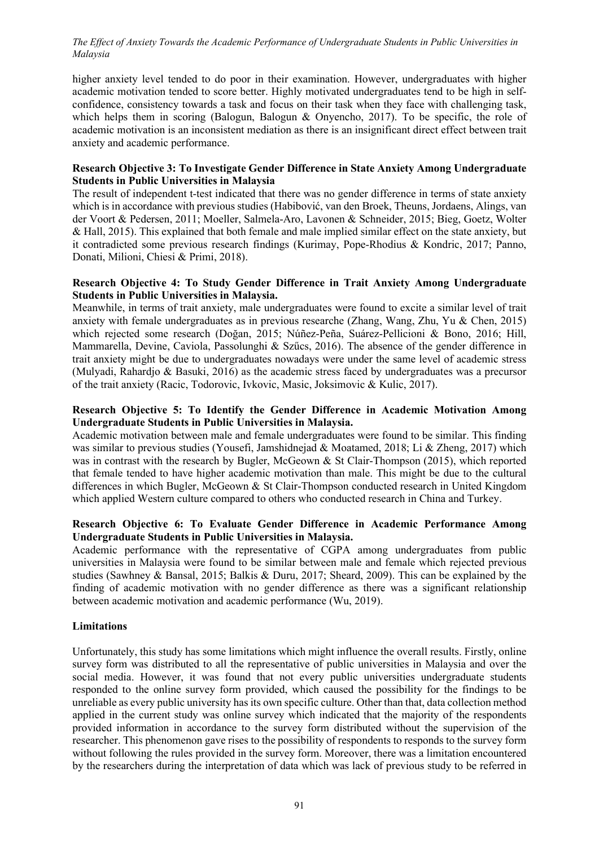higher anxiety level tended to do poor in their examination. However, undergraduates with higher academic motivation tended to score better. Highly motivated undergraduates tend to be high in selfconfidence, consistency towards a task and focus on their task when they face with challenging task, which helps them in scoring (Balogun, Balogun & Onyencho, 2017). To be specific, the role of academic motivation is an inconsistent mediation as there is an insignificant direct effect between trait anxiety and academic performance.

#### **Research Objective 3: To Investigate Gender Difference in State Anxiety Among Undergraduate Students in Public Universities in Malaysia**

The result of independent t-test indicated that there was no gender difference in terms of state anxiety which is in accordance with previous studies (Habibović, van den Broek, Theuns, Jordaens, Alings, van der Voort & Pedersen, 2011; Moeller, Salmela-Aro, Lavonen & Schneider, 2015; Bieg, Goetz, Wolter & Hall, 2015). This explained that both female and male implied similar effect on the state anxiety, but it contradicted some previous research findings (Kurimay, Pope-Rhodius & Kondric, 2017; Panno, Donati, Milioni, Chiesi & Primi, 2018).

#### **Research Objective 4: To Study Gender Difference in Trait Anxiety Among Undergraduate Students in Public Universities in Malaysia.**

Meanwhile, in terms of trait anxiety, male undergraduates were found to excite a similar level of trait anxiety with female undergraduates as in previous researche (Zhang, Wang, Zhu, Yu & Chen, 2015) which rejected some research (Doğan, 2015; Núñez-Peña, Suárez-Pellicioni & Bono, 2016; Hill, Mammarella, Devine, Caviola, Passolunghi & Szűcs, 2016). The absence of the gender difference in trait anxiety might be due to undergraduates nowadays were under the same level of academic stress (Mulyadi, Rahardjo & Basuki, 2016) as the academic stress faced by undergraduates was a precursor of the trait anxiety (Racic, Todorovic, Ivkovic, Masic, Joksimovic & Kulic, 2017).

### **Research Objective 5: To Identify the Gender Difference in Academic Motivation Among Undergraduate Students in Public Universities in Malaysia.**

Academic motivation between male and female undergraduates were found to be similar. This finding was similar to previous studies (Yousefi, Jamshidnejad & Moatamed, 2018; Li & Zheng, 2017) which was in contrast with the research by Bugler, McGeown & St Clair-Thompson (2015), which reported that female tended to have higher academic motivation than male. This might be due to the cultural differences in which Bugler, McGeown & St Clair-Thompson conducted research in United Kingdom which applied Western culture compared to others who conducted research in China and Turkey.

### **Research Objective 6: To Evaluate Gender Difference in Academic Performance Among Undergraduate Students in Public Universities in Malaysia.**

Academic performance with the representative of CGPA among undergraduates from public universities in Malaysia were found to be similar between male and female which rejected previous studies (Sawhney & Bansal, 2015; Balkis & Duru, 2017; Sheard, 2009). This can be explained by the finding of academic motivation with no gender difference as there was a significant relationship between academic motivation and academic performance (Wu, 2019).

#### **Limitations**

Unfortunately, this study has some limitations which might influence the overall results. Firstly, online survey form was distributed to all the representative of public universities in Malaysia and over the social media. However, it was found that not every public universities undergraduate students responded to the online survey form provided, which caused the possibility for the findings to be unreliable as every public university has its own specific culture. Other than that, data collection method applied in the current study was online survey which indicated that the majority of the respondents provided information in accordance to the survey form distributed without the supervision of the researcher. This phenomenon gave rises to the possibility of respondents to responds to the survey form without following the rules provided in the survey form. Moreover, there was a limitation encountered by the researchers during the interpretation of data which was lack of previous study to be referred in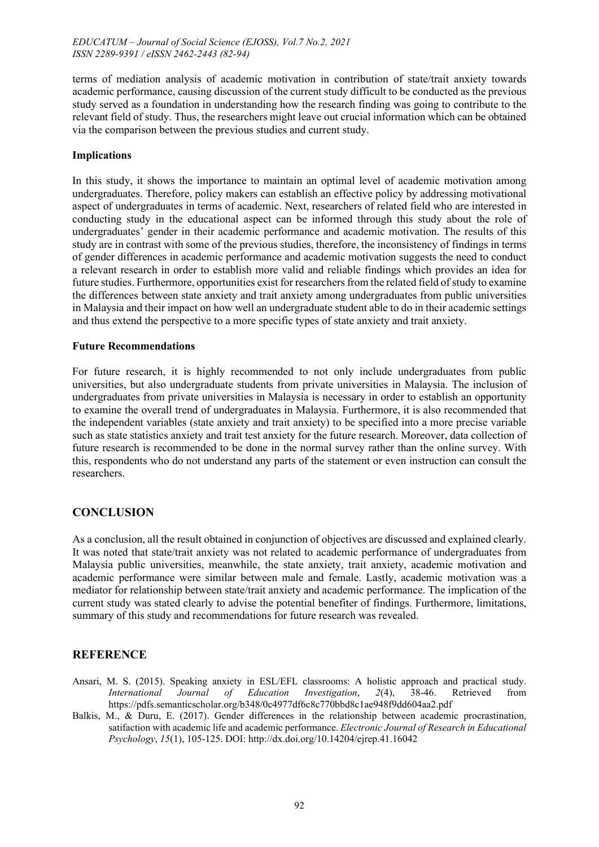terms of mediation analysis of academic motivation in contribution of state/trait anxiety towards academic performance, causing discussion of the current study difficult to be conducted as the previous study served as a foundation in understanding how the research finding was going to contribute to the relevant field of study. Thus, the researchers might leave out crucial information which can be obtained via the comparison between the previous studies and current study.

### **Implications**

In this study, it shows the importance to maintain an optimal level of academic motivation among undergraduates. Therefore, policy makers can establish an effective policy by addressing motivational aspect of undergraduates in terms of academic. Next, researchers of related field who are interested in conducting study in the educational aspect can be informed through this study about the role of undergraduates' gender in their academic performance and academic motivation. The results of this study are in contrast with some of the previous studies, therefore, the inconsistency of findings in terms of gender differences in academic performance and academic motivation suggests the need to conduct a relevant research in order to establish more valid and reliable findings which provides an idea for future studies. Furthermore, opportunities exist for researchers from the related field of study to examine the differences between state anxiety and trait anxiety among undergraduates from public universities in Malaysia and their impact on how well an undergraduate student able to do in their academic settings and thus extend the perspective to a more specific types of state anxiety and trait anxiety.

### **Future Recommendations**

For future research, it is highly recommended to not only include undergraduates from public universities, but also undergraduate students from private universities in Malaysia. The inclusion of undergraduates from private universities in Malaysia is necessary in order to establish an opportunity to examine the overall trend of undergraduates in Malaysia. Furthermore, it is also recommended that the independent variables (state anxiety and trait anxiety) to be specified into a more precise variable such as state statistics anxiety and trait test anxiety for the future research. Moreover, data collection of future research is recommended to be done in the normal survey rather than the online survey. With this, respondents who do not understand any parts of the statement or even instruction can consult the researchers.

# **CONCLUSION**

As a conclusion, all the result obtained in conjunction of objectives are discussed and explained clearly. It was noted that state/trait anxiety was not related to academic performance of undergraduates from Malaysia public universities, meanwhile, the state anxiety, trait anxiety, academic motivation and academic performance were similar between male and female. Lastly, academic motivation was a mediator for relationship between state/trait anxiety and academic performance. The implication of the current study was stated clearly to advise the potential benefiter of findings. Furthermore, limitations, summary of this study and recommendations for future research was revealed.

# **REFERENCE**

- Ansari, M. S. (2015). Speaking anxiety in ESL/EFL classrooms: A holistic approach and practical study. *International Journal of Education Investigation*, *2*(4), 38-46. Retrieved from https://pdfs.semanticscholar.org/b348/0c4977df6c8c770bbd8c1ae948f9dd604aa2.pdf
- Balkis, M., & Duru, E. (2017). Gender differences in the relationship between academic procrastination, satifaction with academic life and academic performance. *Electronic Journal of Research in Educational Psychology*, *15*(1), 105-125. DOI: http://dx.doi.org/10.14204/ejrep.41.16042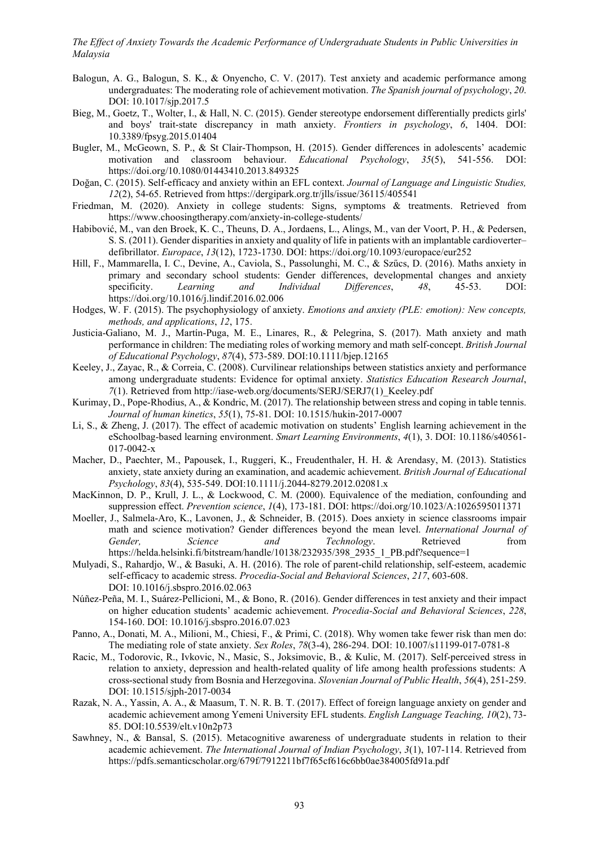- Balogun, A. G., Balogun, S. K., & Onyencho, C. V. (2017). Test anxiety and academic performance among undergraduates: The moderating role of achievement motivation. *The Spanish journal of psychology*, *20*. DOI: 10.1017/sjp.2017.5
- Bieg, M., Goetz, T., Wolter, I., & Hall, N. C. (2015). Gender stereotype endorsement differentially predicts girls' and boys' trait-state discrepancy in math anxiety. *Frontiers in psychology*, *6*, 1404. DOI: 10.3389/fpsyg.2015.01404
- Bugler, M., McGeown, S. P., & St Clair-Thompson, H. (2015). Gender differences in adolescents' academic motivation and classroom behaviour. *Educational Psychology*, *35*(5), 541-556. DOI: https://doi.org/10.1080/01443410.2013.849325
- Doğan, C. (2015). Self-efficacy and anxiety within an EFL context. *Journal of Language and Linguistic Studies, 12*(2), 54-65. Retrieved from https://dergipark.org.tr/jlls/issue/36115/405541
- Friedman, M. (2020). Anxiety in college students: Signs, symptoms & treatments. Retrieved from https://www.choosingtherapy.com/anxiety-in-college-students/
- Habibović, M., van den Broek, K. C., Theuns, D. A., Jordaens, L., Alings, M., van der Voort, P. H., & Pedersen, S. S. (2011). Gender disparities in anxiety and quality of life in patients with an implantable cardioverter– defibrillator. *Europace*, *13*(12), 1723-1730. DOI: https://doi.org/10.1093/europace/eur252
- Hill, F., Mammarella, I. C., Devine, A., Caviola, S., Passolunghi, M. C., & Szűcs, D. (2016). Maths anxiety in primary and secondary school students: Gender differences, developmental changes and anxiety<br>specificity. Learning and Individual Differences, 48, 45-53. DOI: specificity. *Learning and Individual Differences*, *48*, 45-53. DOI: https://doi.org/10.1016/j.lindif.2016.02.006
- Hodges, W. F. (2015). The psychophysiology of anxiety. *Emotions and anxiety (PLE: emotion): New concepts, methods, and applications*, *12*, 175.
- Justicia‐Galiano, M. J., Martín‐Puga, M. E., Linares, R., & Pelegrina, S. (2017). Math anxiety and math performance in children: The mediating roles of working memory and math self‐concept. *British Journal of Educational Psychology*, *87*(4), 573-589. DOI:10.1111/bjep.12165
- Keeley, J., Zayac, R., & Correia, C. (2008). Curvilinear relationships between statistics anxiety and performance among undergraduate students: Evidence for optimal anxiety. *Statistics Education Research Journal*, *7*(1). Retrieved from http://iase-web.org/documents/SERJ/SERJ7(1)\_Keeley.pdf
- Kurimay, D., Pope-Rhodius, A., & Kondric, M. (2017). The relationship between stress and coping in table tennis. *Journal of human kinetics*, *55*(1), 75-81. DOI: 10.1515/hukin-2017-0007
- Li, S., & Zheng, J. (2017). The effect of academic motivation on students' English learning achievement in the eSchoolbag-based learning environment. *Smart Learning Environments*, *4*(1), 3. DOI: 10.1186/s40561- 017-0042-x
- Macher, D., Paechter, M., Papousek, I., Ruggeri, K., Freudenthaler, H. H. & Arendasy, M. (2013). Statistics anxiety, state anxiety during an examination, and academic achievement. *British Journal of Educational Psychology*, *83*(4), 535-549. DOI:10.1111/j.2044-8279.2012.02081.x
- MacKinnon, D. P., Krull, J. L., & Lockwood, C. M. (2000). Equivalence of the mediation, confounding and suppression effect. *Prevention science*, *1*(4), 173-181. DOI: https://doi.org/10.1023/A:1026595011371
- Moeller, J., Salmela-Aro, K., Lavonen, J., & Schneider, B. (2015). Does anxiety in science classrooms impair math and science motivation? Gender differences beyond the mean level. *International Journal of Gender, Science and Technology*. Retrieved from https://helda.helsinki.fi/bitstream/handle/10138/232935/398\_2935\_1\_PB.pdf?sequence=1
- Mulyadi, S., Rahardjo, W., & Basuki, A. H. (2016). The role of parent-child relationship, self-esteem, academic self-efficacy to academic stress. *Procedia-Social and Behavioral Sciences*, *217*, 603-608. DOI: 10.1016/j.sbspro.2016.02.063
- Núñez-Peña, M. I., Suárez-Pellicioni, M., & Bono, R. (2016). Gender differences in test anxiety and their impact on higher education students' academic achievement. *Procedia-Social and Behavioral Sciences*, *228*, 154-160. DOI: 10.1016/j.sbspro.2016.07.023
- Panno, A., Donati, M. A., Milioni, M., Chiesi, F., & Primi, C. (2018). Why women take fewer risk than men do: The mediating role of state anxiety. *Sex Roles*, *78*(3-4), 286-294. DOI: 10.1007/s11199-017-0781-8
- Racic, M., Todorovic, R., Ivkovic, N., Masic, S., Joksimovic, B., & Kulic, M. (2017). Self-perceived stress in relation to anxiety, depression and health-related quality of life among health professions students: A cross-sectional study from Bosnia and Herzegovina. *Slovenian Journal of Public Health*, *56*(4), 251-259. DOI: 10.1515/sjph-2017-0034
- Razak, N. A., Yassin, A. A., & Maasum, T. N. R. B. T. (2017). Effect of foreign language anxiety on gender and academic achievement among Yemeni University EFL students. *English Language Teaching, 10*(2), 73- 85. DOI:10.5539/elt.v10n2p73
- Sawhney, N., & Bansal, S. (2015). Metacognitive awareness of undergraduate students in relation to their academic achievement. *The International Journal of Indian Psychology*, *3*(1), 107-114. Retrieved from https://pdfs.semanticscholar.org/679f/7912211bf7f65cf616c6bb0ae384005fd91a.pdf